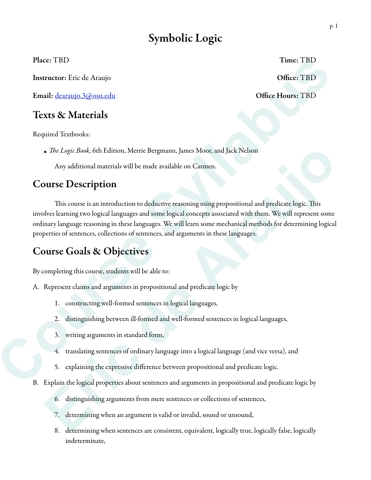# Symbolic Logic

Place: TBD Time: TBD

Instructor: Eric de Araujo **Office: TBD** 

Email: dearaujo.3@osu.edu Office Hours: TBD

## Texts & Materials

Required Textbooks:

*•* T*e Logic Book*, 6th Edition, Merrie Bergmann, James Moor, and Jack Nelson

Any additional materials will be made available on Carmen.

## Course Description

This course is an introduction to deductive reasoning using propositional and predicate logic. This involves learning two logical languages and some logical concepts associated with them. We will represent some ordinary language reasoning in these languages. We will learn some mechanical methods for determining logical properties of sentences, collections of sentences, and arguments in these languages. **Fines TBD**<br>
Instructor: Fric de Aranjo<br>
Instructor: Fric de Aranjo<br> **Coffice: TBD**<br> **Course Self course du Course Course Sylventicals**<br>
Required Textbooks:<br> **Course Description**<br>
Any additional meterials will be made avai • *De Logic Book*, 6th Edition, Merric Bergmann, James Moor, and Jack Nelson<br>
Any additional materials will be made available on Carmen.<br> **Array definition**<br>
This course is an introduction to deductive reasoning using prop

## Course Goals & Objectives

By completing this course, students will be able to:

- A. Represent claims and arguments in propositional and predicate logic by
	- 1. constructing well-formed sentences in logical languages,
	- 2. distinguishing between ill-formed and well-formed sentences in logical languages,
	- 3. writing arguments in standard form,
	- 4. translating sentences of ordinary language into a logical language (and vice versa), and
	- 5. explaining the expressive difference between propositional and predicate logic.
- B. Explain the logical properties about sentences and arguments in propositional and predicate logic by
	- 6. distinguishing arguments from mere sentences or collections of sentences,
	- 7. determining when an argument is valid or invalid, sound or unsound,
	- 8. determining when sentences are consistent, equivalent, logically true, logically false, logically indeterminate,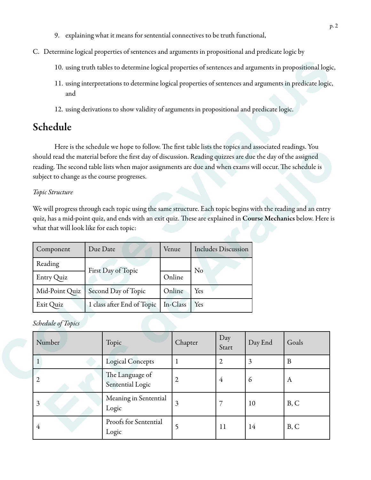- 9. explaining what it means for sentential connectives to be truth functional,
- C. Determine logical properties of sentences and arguments in propositional and predicate logic by
	- 10. using truth tables to determine logical properties of sentences and arguments in propositional logic,
	- 11. using interpretations to determine logical properties of sentences and arguments in predicate logic, and
	- 12. using derivations to show validity of arguments in propositional and predicate logic.

# Schedule

### *Topic Structure*

| Component      | Due Date                   | Venue    | <b>Includes Discussion</b> |
|----------------|----------------------------|----------|----------------------------|
| Reading        | First Day of Topic         |          | No                         |
| Entry Quiz     |                            | Online   |                            |
| Mid-Point Quiz | Second Day of Topic        | Online   | Yes                        |
| Exit Quiz      | 1 class after End of Topic | In-Class | Yes                        |

#### *Schedule of Topics*

|                                                                                                            |          | 10. using truth tables to determine logical properties of sentences and arguments in propositional logic,                                                                                                                                                                                                                                                                                                                                                                                                                                                             |                         |     |                            |                |             |
|------------------------------------------------------------------------------------------------------------|----------|-----------------------------------------------------------------------------------------------------------------------------------------------------------------------------------------------------------------------------------------------------------------------------------------------------------------------------------------------------------------------------------------------------------------------------------------------------------------------------------------------------------------------------------------------------------------------|-------------------------|-----|----------------------------|----------------|-------------|
| and                                                                                                        |          | 11. using interpretations to determine logical properties of sentences and arguments in predicate logic,                                                                                                                                                                                                                                                                                                                                                                                                                                                              |                         |     |                            |                |             |
|                                                                                                            |          | 12. using derivations to show validity of arguments in propositional and predicate logic.                                                                                                                                                                                                                                                                                                                                                                                                                                                                             |                         |     |                            |                |             |
| Schedule                                                                                                   |          |                                                                                                                                                                                                                                                                                                                                                                                                                                                                                                                                                                       |                         |     |                            |                |             |
| subject to change as the course progresses.<br>Topic Structure<br>what that will look like for each topic: |          | Here is the schedule we hope to follow. The first table lists the topics and associated readings. You<br>should read the material before the first day of discussion. Reading quizzes are due the day of the assigned<br>reading. The second table lists when major assignments are due and when exams will occur. The schedule is<br>We will progress through each topic using the same structure. Each topic begins with the reading and an entry<br>quiz, has a mid-point quiz, and ends with an exit quiz. These are explained in Course Mechanics below. Here is |                         |     |                            |                |             |
| Component                                                                                                  | Due Date |                                                                                                                                                                                                                                                                                                                                                                                                                                                                                                                                                                       | Venue                   |     | <b>Includes Discussion</b> |                |             |
| Reading<br>Entry Quiz                                                                                      |          | First Day of Topic                                                                                                                                                                                                                                                                                                                                                                                                                                                                                                                                                    | Online                  | No  |                            |                |             |
| Mid-Point Quiz                                                                                             |          | Second Day of Topic                                                                                                                                                                                                                                                                                                                                                                                                                                                                                                                                                   | Online                  | Yes |                            |                |             |
| Exit Quiz                                                                                                  |          | 1 class after End of Topic                                                                                                                                                                                                                                                                                                                                                                                                                                                                                                                                            | In-Class                | Yes |                            |                |             |
| Schedule of Topics                                                                                         |          |                                                                                                                                                                                                                                                                                                                                                                                                                                                                                                                                                                       |                         |     |                            |                |             |
| Number                                                                                                     |          | Topic                                                                                                                                                                                                                                                                                                                                                                                                                                                                                                                                                                 | Chapter                 |     | Day<br>Start               | Day End        | Goals       |
| $\mathbf{1}$                                                                                               |          | <b>Logical Concepts</b>                                                                                                                                                                                                                                                                                                                                                                                                                                                                                                                                               | $\mathbf{1}$            |     | $\overline{2}$             | $\overline{3}$ | $\mathbf B$ |
| $\overline{2}$                                                                                             |          | The Language of<br>Sentential Logic                                                                                                                                                                                                                                                                                                                                                                                                                                                                                                                                   | $\mathfrak{2}$          |     | $\overline{4}$             | 6              | A           |
| 3                                                                                                          |          | Meaning in Sentential<br>Logic                                                                                                                                                                                                                                                                                                                                                                                                                                                                                                                                        | $\overline{\mathbf{3}}$ |     | $\overline{7}$             | 10             | B, C        |
| $\overline{4}$                                                                                             |          | Proofs for Sentential<br>Logic                                                                                                                                                                                                                                                                                                                                                                                                                                                                                                                                        | 5                       |     | 11                         | 14             | B, C        |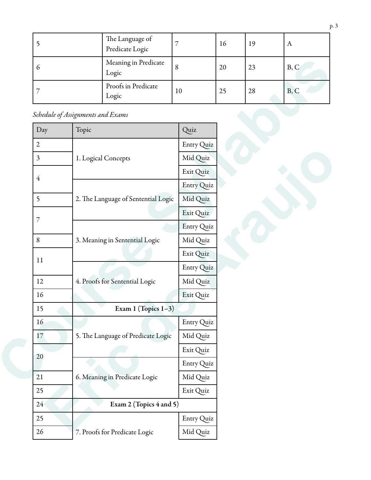|               | The Language of<br>Predicate Logic |    | 16 | 19 | A    |
|---------------|------------------------------------|----|----|----|------|
| $\mathfrak b$ | Meaning in Predicate<br>Logic      | 8  | 20 | 23 | B, C |
|               | Proofs in Predicate<br>Logic       | 10 | 25 | 28 | B, C |

*Schedule of Assignments and Exams*

| 6               |                                   | Meaning in Predicate<br>Logic       | 8          | 20 | 23 | B, C |
|-----------------|-----------------------------------|-------------------------------------|------------|----|----|------|
| 7               |                                   | Proofs in Predicate<br>Logic        | 10         | 25 | 28 | B, C |
|                 | Schedule of Assignments and Exams |                                     |            |    |    |      |
| Day             | Topic                             |                                     | Quiz       |    |    |      |
| $\overline{2}$  |                                   |                                     | Entry Quiz |    |    |      |
| 3               |                                   | 1. Logical Concepts                 | Mid Quiz   |    |    |      |
| $\overline{4}$  |                                   |                                     | Exit Quiz  |    |    |      |
|                 |                                   |                                     | Entry Quiz |    |    |      |
| 5               |                                   | 2. The Language of Sentential Logic | Mid Quiz   |    |    |      |
| 7               |                                   |                                     | Exit Quiz  |    |    |      |
|                 |                                   |                                     | Entry Quiz |    |    |      |
| 8               |                                   | 3. Meaning in Sentential Logic      | Mid Quiz   |    |    |      |
| 11              |                                   |                                     | Exit Quiz  |    |    |      |
|                 |                                   |                                     | Entry Quiz |    |    |      |
| 12              |                                   | 4. Proofs for Sentential Logic      | Mid Quiz   |    |    |      |
| 16              |                                   |                                     | Exit Quiz  |    |    |      |
| 15              |                                   | Exam 1 (Topics $1-3$ )              |            |    |    |      |
| 16              |                                   |                                     | Entry Quiz |    |    |      |
| 17              |                                   | 5. The Language of Predicate Logic  | Mid Quiz   |    |    |      |
| 20              |                                   |                                     | Exit Quiz  |    |    |      |
|                 |                                   |                                     | Entry Quiz |    |    |      |
| 21              |                                   | 6. Meaning in Predicate Logic       | Mid Quiz   |    |    |      |
| 25              |                                   |                                     | Exit Quiz  |    |    |      |
| 24 <sup>°</sup> |                                   | Exam 2 (Topics 4 and 5)             |            |    |    |      |
| 25              |                                   |                                     | Entry Quiz |    |    |      |
| $26\,$          |                                   | 7. Proofs for Predicate Logic       | Mid Quiz   |    |    |      |
|                 |                                   |                                     |            |    |    |      |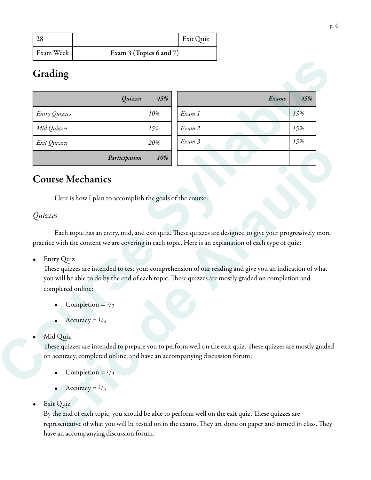|           |                           | <b>Exit Quiz</b> |
|-----------|---------------------------|------------------|
| Exam Week | Exam $3$ (Topics 6 and 7) |                  |

# Grading

| Quizzes                                                                                                                                                                                                                                                       | 45% |                                                           | Exams | 45% |
|---------------------------------------------------------------------------------------------------------------------------------------------------------------------------------------------------------------------------------------------------------------|-----|-----------------------------------------------------------|-------|-----|
| Entry Quizzes                                                                                                                                                                                                                                                 | 10% | Exam 1                                                    |       | 15% |
| Mid Quizzes                                                                                                                                                                                                                                                   | 15% | Exam 2                                                    |       | 15% |
| Exit Quizzes                                                                                                                                                                                                                                                  | 20% | Exam 3                                                    |       | 15% |
| Participation                                                                                                                                                                                                                                                 | 10% |                                                           |       |     |
| Each topic has an entry, mid, and exit quiz. These quizzes are designed to give your progressively more                                                                                                                                                       |     | Here is how I plan to accomplish the goals of the course: |       |     |
|                                                                                                                                                                                                                                                               |     |                                                           |       |     |
| Quizzes<br>practice with the content we are covering in each topic. Here is an explanation of each type of quiz:<br><b>Entry Quiz</b><br>$\bullet$<br>These quizzes are intended to test your comprehension of our reading and give you an indication of what |     |                                                           |       |     |
| you will be able to do by the end of each topic. These quizzes are mostly graded on completion and<br>completed online:                                                                                                                                       |     |                                                           |       |     |
| Completion = $2/3$                                                                                                                                                                                                                                            |     |                                                           |       |     |
| Accuracy = $1/3$                                                                                                                                                                                                                                              |     |                                                           |       |     |
| Mid Quiz                                                                                                                                                                                                                                                      |     |                                                           |       |     |

# Course Mechanics

## *Quizzes*

These quizzes are intended to test your comprehension of our reading and give you an indication of what you will be able to do by the end of each topic. These quizzes are mostly graded on completion and completed online: **Participation** 1998<br> **Example 1998**<br>
Here is how I plan to accomplish the goals of the course:<br>
faces<br>
Fach topic has an entry, mid, and exit quiz. These quizzes are designed to give your progressively more<br>
trice with t

- Completion  $= 2/3$
- Accuracy =  $\frac{1}{3}$

### Mid Quiz

- Completion =  $\frac{1}{3}$
- Accuracy  $= 2/3$

## • Exit Quiz

By the end of each topic, you should be able to perform well on the exit quiz. These quizzes are representative of what you will be tested on in the exams. They are done on paper and turned in class. They have an accompanying discussion forum.